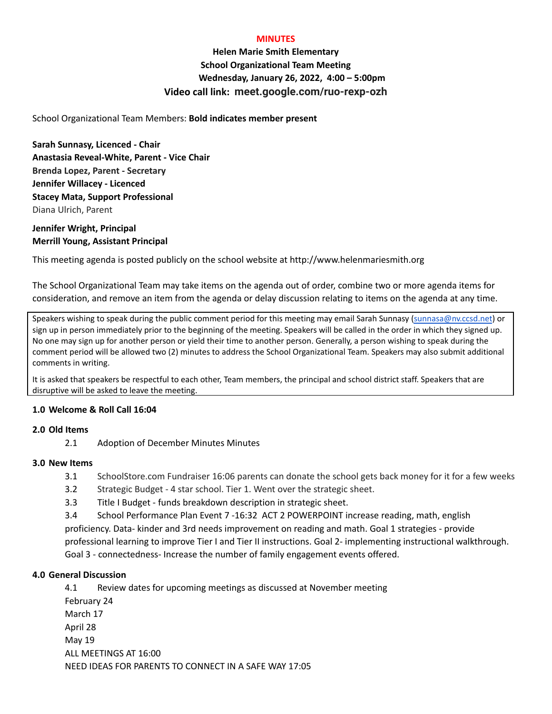## **MINUTES**

**Helen Marie Smith Elementary School Organizational Team Meeting Wednesday, January 26, 2022, 4:00 – 5:00pm Video call link: meet.google.com/ruo-rexp-ozh**

## School Organizational Team Members: **Bold indicates member present**

**Sarah Sunnasy, Licenced - Chair Anastasia Reveal-White, Parent - Vice Chair Brenda Lopez, Parent - Secretary Jennifer Willacey - Licenced Stacey Mata, Support Professional** Diana Ulrich, Parent

**Jennifer Wright, Principal Merrill Young, Assistant Principal**

This meeting agenda is posted publicly on the school website at http://www.helenmariesmith.org

The School Organizational Team may take items on the agenda out of order, combine two or more agenda items for consideration, and remove an item from the agenda or delay discussion relating to items on the agenda at any time.

Speakers wishing to speak during the public comment period for this meeting may email Sarah Sunnasy [\(sunnasa@nv.ccsd.net](mailto:sunnasa@nv.ccsd.net)) or sign up in person immediately prior to the beginning of the meeting. Speakers will be called in the order in which they signed up. No one may sign up for another person or yield their time to another person. Generally, a person wishing to speak during the comment period will be allowed two (2) minutes to address the School Organizational Team. Speakers may also submit additional comments in writing.

It is asked that speakers be respectful to each other, Team members, the principal and school district staff. Speakers that are disruptive will be asked to leave the meeting.

#### **1.0 Welcome & Roll Call 16:04**

#### **2.0 Old Items**

2.1 Adoption of December Minutes Minutes

#### **3.0 New Items**

- 3.1 SchoolStore.com Fundraiser 16:06 parents can donate the school gets back money for it for a few weeks
- 3.2 Strategic Budget 4 star school. Tier 1. Went over the strategic sheet.
- 3.3 Title I Budget funds breakdown description in strategic sheet.

3.4 School Performance Plan Event 7 -16:32 ACT 2 POWERPOINT increase reading, math, english proficiency. Data- kinder and 3rd needs improvement on reading and math. Goal 1 strategies - provide professional learning to improve Tier I and Tier II instructions. Goal 2- implementing instructional walkthrough. Goal 3 - connectedness- Increase the number of family engagement events offered.

# **4.0 General Discussion**

4.1 Review dates for upcoming meetings as discussed at November meeting February 24 March 17 April 28 May 19 ALL MEETINGS AT 16:00 NEED IDEAS FOR PARENTS TO CONNECT IN A SAFE WAY 17:05